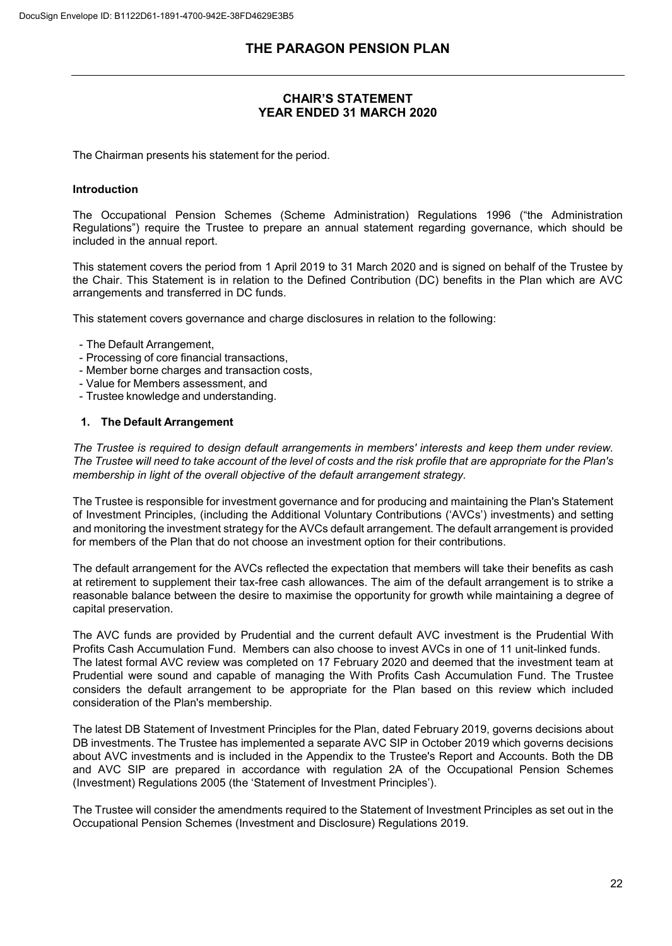## **CHAIR'S STATEMENT YEAR ENDED 31 MARCH 2020**

The Chairman presents his statement for the period.

### **Introduction**

The Occupational Pension Schemes (Scheme Administration) Regulations 1996 ("the Administration Regulations") require the Trustee to prepare an annual statement regarding governance, which should be included in the annual report.

This statement covers the period from 1 April 2019 to 31 March 2020 and is signed on behalf of the Trustee by the Chair. This Statement is in relation to the Defined Contribution (DC) benefits in the Plan which are AVC arrangements and transferred in DC funds.

This statement covers governance and charge disclosures in relation to the following:

- The Default Arrangement,
- Processing of core financial transactions,
- Member borne charges and transaction costs,
- Value for Members assessment, and
- Trustee knowledge and understanding.

### **1. The Default Arrangement**

*The Trustee is required to design default arrangements in members' interests and keep them under review. The Trustee will need to take account of the level of costs and the risk profile that are appropriate for the Plan's membership in light of the overall objective of the default arrangement strategy.*

The Trustee is responsible for investment governance and for producing and maintaining the Plan's Statement of Investment Principles, (including the Additional Voluntary Contributions ('AVCs') investments) and setting and monitoring the investment strategy for the AVCs default arrangement. The default arrangement is provided for members of the Plan that do not choose an investment option for their contributions.

The default arrangement for the AVCs reflected the expectation that members will take their benefits as cash at retirement to supplement their tax-free cash allowances. The aim of the default arrangement is to strike a reasonable balance between the desire to maximise the opportunity for growth while maintaining a degree of capital preservation.

The AVC funds are provided by Prudential and the current default AVC investment is the Prudential With Profits Cash Accumulation Fund. Members can also choose to invest AVCs in one of 11 unit-linked funds. The latest formal AVC review was completed on 17 February 2020 and deemed that the investment team at Prudential were sound and capable of managing the With Profits Cash Accumulation Fund. The Trustee considers the default arrangement to be appropriate for the Plan based on this review which included consideration of the Plan's membership.

The latest DB Statement of Investment Principles for the Plan, dated February 2019, governs decisions about DB investments. The Trustee has implemented a separate AVC SIP in October 2019 which governs decisions about AVC investments and is included in the Appendix to the Trustee's Report and Accounts. Both the DB and AVC SIP are prepared in accordance with regulation 2A of the Occupational Pension Schemes (Investment) Regulations 2005 (the 'Statement of Investment Principles').

The Trustee will consider the amendments required to the Statement of Investment Principles as set out in the Occupational Pension Schemes (Investment and Disclosure) Regulations 2019.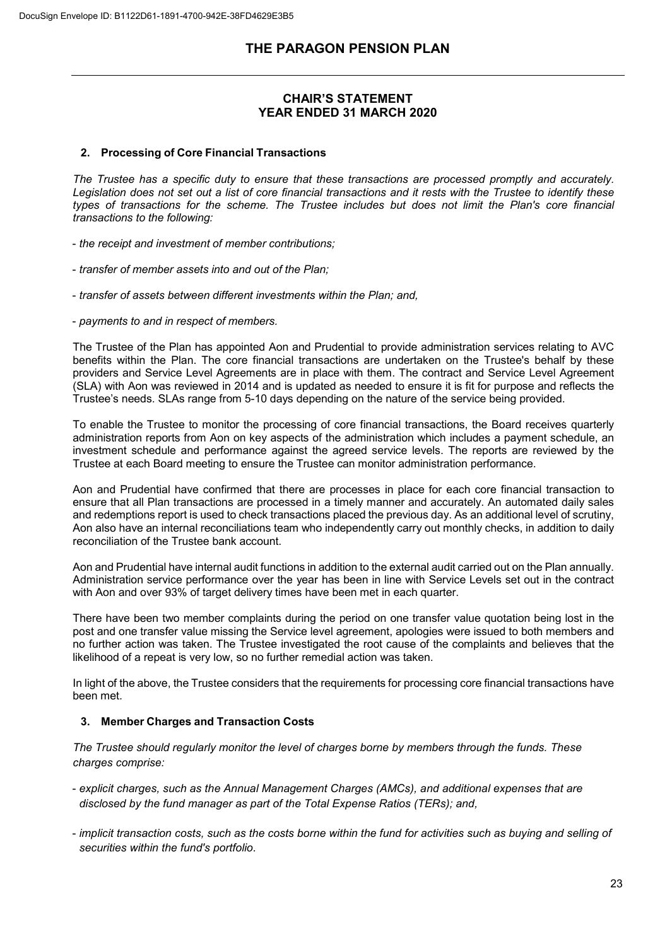## **CHAIR'S STATEMENT YEAR ENDED 31 MARCH 2020**

#### **2. Processing of Core Financial Transactions**

*The Trustee has a specific duty to ensure that these transactions are processed promptly and accurately. Legislation does not set out a list of core financial transactions and it rests with the Trustee to identify these types of transactions for the scheme. The Trustee includes but does not limit the Plan's core financial transactions to the following:*

- *the receipt and investment of member contributions;*
- *transfer of member assets into and out of the Plan;*
- *transfer of assets between different investments within the Plan; and,*
- *payments to and in respect of members.*

The Trustee of the Plan has appointed Aon and Prudential to provide administration services relating to AVC benefits within the Plan. The core financial transactions are undertaken on the Trustee's behalf by these providers and Service Level Agreements are in place with them. The contract and Service Level Agreement (SLA) with Aon was reviewed in 2014 and is updated as needed to ensure it is fit for purpose and reflects the Trustee's needs. SLAs range from 5-10 days depending on the nature of the service being provided.

To enable the Trustee to monitor the processing of core financial transactions, the Board receives quarterly administration reports from Aon on key aspects of the administration which includes a payment schedule, an investment schedule and performance against the agreed service levels. The reports are reviewed by the Trustee at each Board meeting to ensure the Trustee can monitor administration performance.

Aon and Prudential have confirmed that there are processes in place for each core financial transaction to ensure that all Plan transactions are processed in a timely manner and accurately. An automated daily sales and redemptions report is used to check transactions placed the previous day. As an additional level of scrutiny, Aon also have an internal reconciliations team who independently carry out monthly checks, in addition to daily reconciliation of the Trustee bank account.

Aon and Prudential have internal audit functions in addition to the external audit carried out on the Plan annually. Administration service performance over the year has been in line with Service Levels set out in the contract with Aon and over 93% of target delivery times have been met in each quarter.

There have been two member complaints during the period on one transfer value quotation being lost in the post and one transfer value missing the Service level agreement, apologies were issued to both members and no further action was taken. The Trustee investigated the root cause of the complaints and believes that the likelihood of a repeat is very low, so no further remedial action was taken.

In light of the above, the Trustee considers that the requirements for processing core financial transactions have been met.

### **3. Member Charges and Transaction Costs**

*The Trustee should regularly monitor the level of charges borne by members through the funds. These charges comprise:*

- *explicit charges, such as the Annual Management Charges (AMCs), and additional expenses that are disclosed by the fund manager as part of the Total Expense Ratios (TERs); and,*
- *implicit transaction costs, such as the costs borne within the fund for activities such as buying and selling of securities within the fund's portfolio.*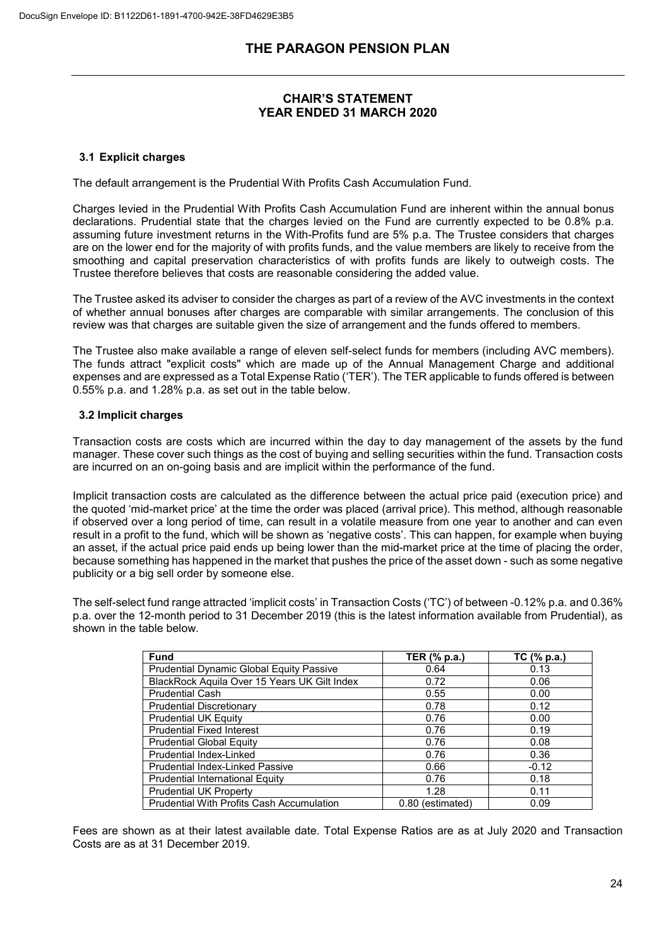# **CHAIR'S STATEMENT YEAR ENDED 31 MARCH 2020**

## **3.1 Explicit charges**

The default arrangement is the Prudential With Profits Cash Accumulation Fund.

Charges levied in the Prudential With Profits Cash Accumulation Fund are inherent within the annual bonus declarations. Prudential state that the charges levied on the Fund are currently expected to be 0.8% p.a. assuming future investment returns in the With-Profits fund are 5% p.a. The Trustee considers that charges are on the lower end for the majority of with profits funds, and the value members are likely to receive from the smoothing and capital preservation characteristics of with profits funds are likely to outweigh costs. The Trustee therefore believes that costs are reasonable considering the added value.

The Trustee asked its adviser to consider the charges as part of a review of the AVC investments in the context of whether annual bonuses after charges are comparable with similar arrangements. The conclusion of this review was that charges are suitable given the size of arrangement and the funds offered to members.

The Trustee also make available a range of eleven self-select funds for members (including AVC members). The funds attract "explicit costs" which are made up of the Annual Management Charge and additional expenses and are expressed as a Total Expense Ratio ('TER'). The TER applicable to funds offered is between 0.55% p.a. and 1.28% p.a. as set out in the table below.

### **3.2 Implicit charges**

Transaction costs are costs which are incurred within the day to day management of the assets by the fund manager. These cover such things as the cost of buying and selling securities within the fund. Transaction costs are incurred on an on-going basis and are implicit within the performance of the fund.

Implicit transaction costs are calculated as the difference between the actual price paid (execution price) and the quoted 'mid-market price' at the time the order was placed (arrival price). This method, although reasonable if observed over a long period of time, can result in a volatile measure from one year to another and can even result in a profit to the fund, which will be shown as 'negative costs'. This can happen, for example when buying an asset, if the actual price paid ends up being lower than the mid-market price at the time of placing the order, because something has happened in the market that pushes the price of the asset down - such as some negative publicity or a big sell order by someone else.

The self-select fund range attracted 'implicit costs' in Transaction Costs ('TC') of between -0.12% p.a. and 0.36% p.a. over the 12-month period to 31 December 2019 (this is the latest information available from Prudential), as shown in the table below.

| <b>Fund</b>                                  | TER (% p.a.)     | TC (% p.a.) |
|----------------------------------------------|------------------|-------------|
| Prudential Dynamic Global Equity Passive     | 0.64             | 0.13        |
| BlackRock Aquila Over 15 Years UK Gilt Index | 0.72             | 0.06        |
| <b>Prudential Cash</b>                       | 0.55             | 0.00        |
| <b>Prudential Discretionary</b>              | 0.78             | 0.12        |
| <b>Prudential UK Equity</b>                  | 0.76             | 0.00        |
| <b>Prudential Fixed Interest</b>             | 0.76             | 0.19        |
| <b>Prudential Global Equity</b>              | 0.76             | 0.08        |
| Prudential Index-Linked                      | 0.76             | 0.36        |
| <b>Prudential Index-Linked Passive</b>       | 0.66             | $-0.12$     |
| Prudential International Equity              | 0.76             | 0.18        |
| <b>Prudential UK Property</b>                | 1.28             | 0.11        |
| Prudential With Profits Cash Accumulation    | 0.80 (estimated) | 0.09        |

Fees are shown as at their latest available date. Total Expense Ratios are as at July 2020 and Transaction Costs are as at 31 December 2019.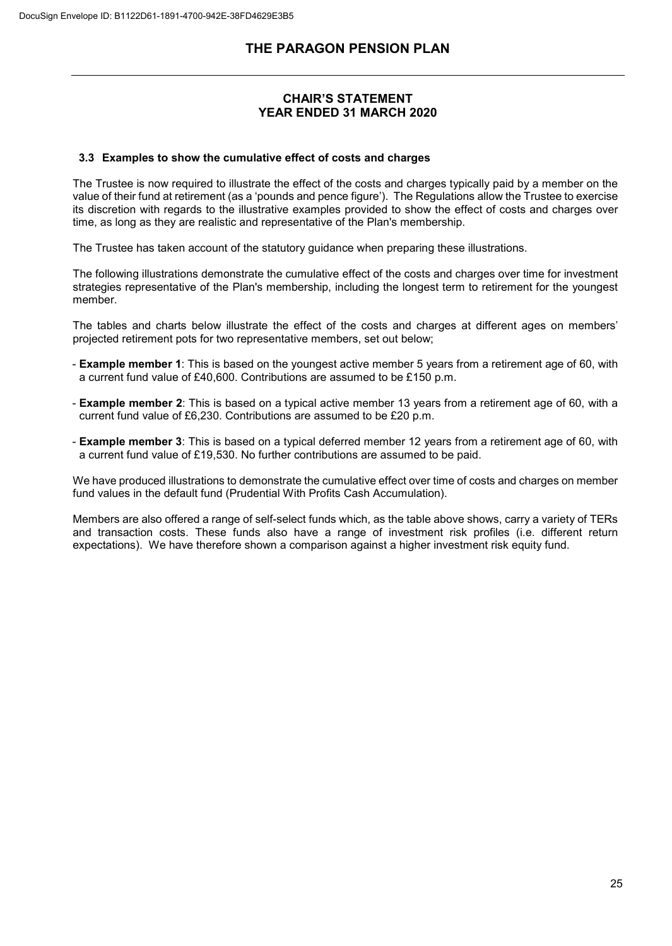## **CHAIR'S STATEMENT YEAR ENDED 31 MARCH 2020**

### **3.3 Examples to show the cumulative effect of costs and charges**

The Trustee is now required to illustrate the effect of the costs and charges typically paid by a member on the value of their fund at retirement (as a 'pounds and pence figure'). The Regulations allow the Trustee to exercise its discretion with regards to the illustrative examples provided to show the effect of costs and charges over time, as long as they are realistic and representative of the Plan's membership.

The Trustee has taken account of the statutory guidance when preparing these illustrations.

The following illustrations demonstrate the cumulative effect of the costs and charges over time for investment strategies representative of the Plan's membership, including the longest term to retirement for the youngest member.

The tables and charts below illustrate the effect of the costs and charges at different ages on members' projected retirement pots for two representative members, set out below;

- **Example member 1**: This is based on the youngest active member 5 years from a retirement age of 60, with a current fund value of £40,600. Contributions are assumed to be £150 p.m.
- **Example member 2**: This is based on a typical active member 13 years from a retirement age of 60, with a current fund value of £6,230. Contributions are assumed to be £20 p.m.
- **Example member 3**: This is based on a typical deferred member 12 years from a retirement age of 60, with a current fund value of £19,530. No further contributions are assumed to be paid.

We have produced illustrations to demonstrate the cumulative effect over time of costs and charges on member fund values in the default fund (Prudential With Profits Cash Accumulation).

Members are also offered a range of self-select funds which, as the table above shows, carry a variety of TERs and transaction costs. These funds also have a range of investment risk profiles (i.e. different return expectations). We have therefore shown a comparison against a higher investment risk equity fund.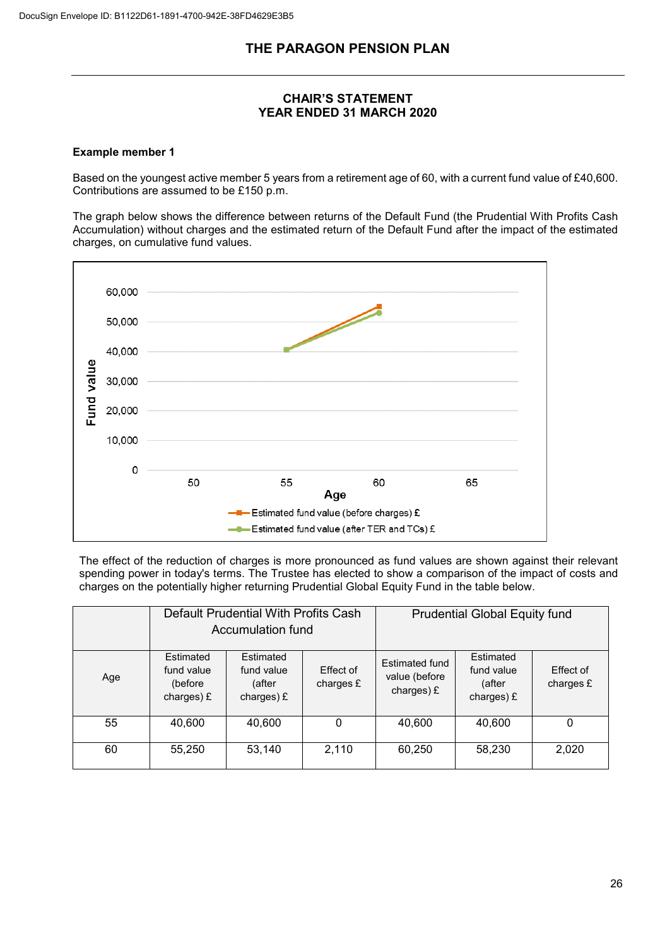# **CHAIR'S STATEMENT YEAR ENDED 31 MARCH 2020**

## **Example member 1**

Based on the youngest active member 5 years from a retirement age of 60, with a current fund value of £40,600. Contributions are assumed to be £150 p.m.

The graph below shows the difference between returns of the Default Fund (the Prudential With Profits Cash Accumulation) without charges and the estimated return of the Default Fund after the impact of the estimated charges, on cumulative fund values.



The effect of the reduction of charges is more pronounced as fund values are shown against their relevant spending power in today's terms. The Trustee has elected to show a comparison of the impact of costs and charges on the potentially higher returning Prudential Global Equity Fund in the table below.

|     | Default Prudential With Profits Cash<br>Accumulation fund |                                                   |                        | <b>Prudential Global Equity fund</b>          |                                                 |                        |
|-----|-----------------------------------------------------------|---------------------------------------------------|------------------------|-----------------------------------------------|-------------------------------------------------|------------------------|
| Age | Estimated<br>fund value<br>(before<br>charges) £          | Estimated<br>fund value<br>(after<br>charges) $E$ | Effect of<br>charges £ | Estimated fund<br>value (before<br>charges) £ | Estimated<br>fund value<br>(after<br>charges) £ | Effect of<br>charges £ |
| 55  | 40,600                                                    | 40,600                                            | 0                      | 40,600                                        | 40,600                                          | 0                      |
| 60  | 55,250                                                    | 53,140                                            | 2,110                  | 60,250                                        | 58,230                                          | 2,020                  |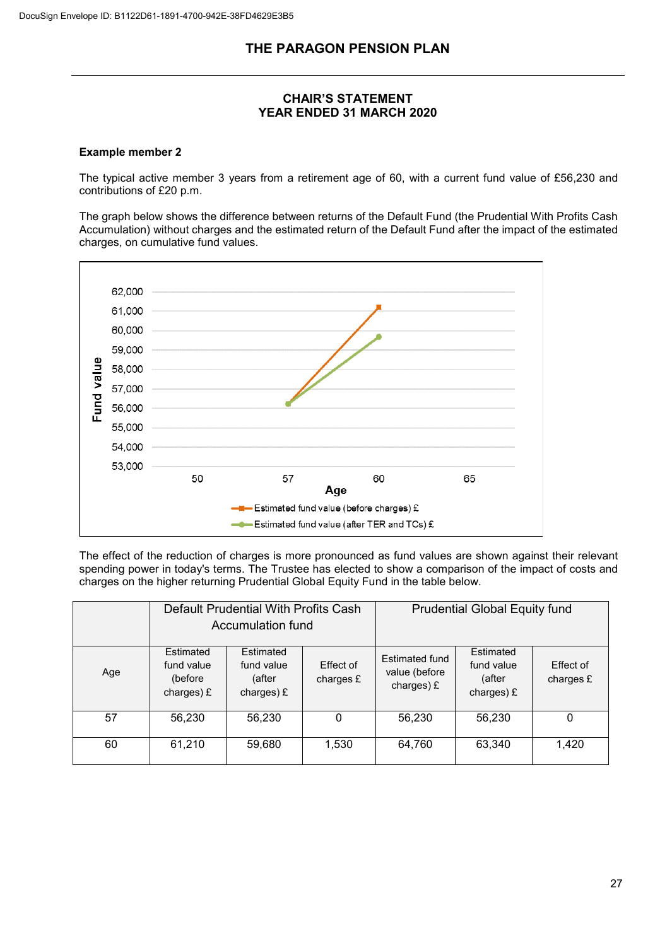# **CHAIR'S STATEMENT YEAR ENDED 31 MARCH 2020**

## **Example member 2**

The typical active member 3 years from a retirement age of 60, with a current fund value of £56,230 and contributions of £20 p.m.

The graph below shows the difference between returns of the Default Fund (the Prudential With Profits Cash Accumulation) without charges and the estimated return of the Default Fund after the impact of the estimated charges, on cumulative fund values.



The effect of the reduction of charges is more pronounced as fund values are shown against their relevant spending power in today's terms. The Trustee has elected to show a comparison of the impact of costs and charges on the higher returning Prudential Global Equity Fund in the table below.

|     | Default Prudential With Profits Cash<br>Accumulation fund |                                                   | <b>Prudential Global Equity fund</b> |                                                 |                                                   |                        |
|-----|-----------------------------------------------------------|---------------------------------------------------|--------------------------------------|-------------------------------------------------|---------------------------------------------------|------------------------|
| Age | Estimated<br>fund value<br>(before<br>charges) $E$        | Estimated<br>fund value<br>(after<br>charges) $E$ | Effect of<br>charges £               | Estimated fund<br>value (before<br>charges) $E$ | Estimated<br>fund value<br>(after<br>charges) $E$ | Effect of<br>charges £ |
| 57  | 56,230                                                    | 56,230                                            | 0                                    | 56,230                                          | 56,230                                            | 0                      |
| 60  | 61,210                                                    | 59,680                                            | 1,530                                | 64,760                                          | 63,340                                            | 1,420                  |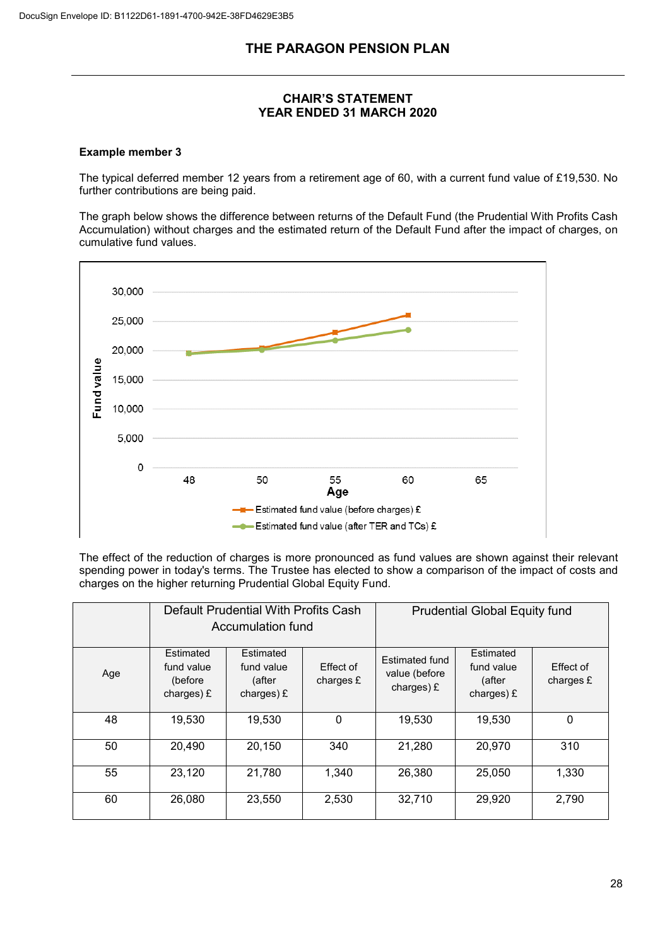# **CHAIR'S STATEMENT YEAR ENDED 31 MARCH 2020**

## **Example member 3**

The typical deferred member 12 years from a retirement age of 60, with a current fund value of £19,530. No further contributions are being paid.

The graph below shows the difference between returns of the Default Fund (the Prudential With Profits Cash Accumulation) without charges and the estimated return of the Default Fund after the impact of charges, on cumulative fund values.



The effect of the reduction of charges is more pronounced as fund values are shown against their relevant spending power in today's terms. The Trustee has elected to show a comparison of the impact of costs and charges on the higher returning Prudential Global Equity Fund.

|     | Default Prudential With Profits Cash<br>Accumulation fund |                                                   | <b>Prudential Global Equity fund</b> |                                                        |                                                   |                        |
|-----|-----------------------------------------------------------|---------------------------------------------------|--------------------------------------|--------------------------------------------------------|---------------------------------------------------|------------------------|
| Age | Estimated<br>fund value<br>(before<br>charges) £          | Estimated<br>fund value<br>(after<br>charges) $E$ | Effect of<br>charges $E$             | <b>Estimated fund</b><br>value (before<br>charges) $E$ | Estimated<br>fund value<br>(after<br>charges) $E$ | Effect of<br>charges £ |
| 48  | 19,530                                                    | 19,530                                            | 0                                    | 19,530                                                 | 19,530                                            | $\mathbf 0$            |
| 50  | 20,490                                                    | 20,150                                            | 340                                  | 21,280                                                 | 20,970                                            | 310                    |
| 55  | 23,120                                                    | 21,780                                            | 1,340                                | 26,380                                                 | 25,050                                            | 1,330                  |
| 60  | 26,080                                                    | 23,550                                            | 2,530                                | 32,710                                                 | 29,920                                            | 2,790                  |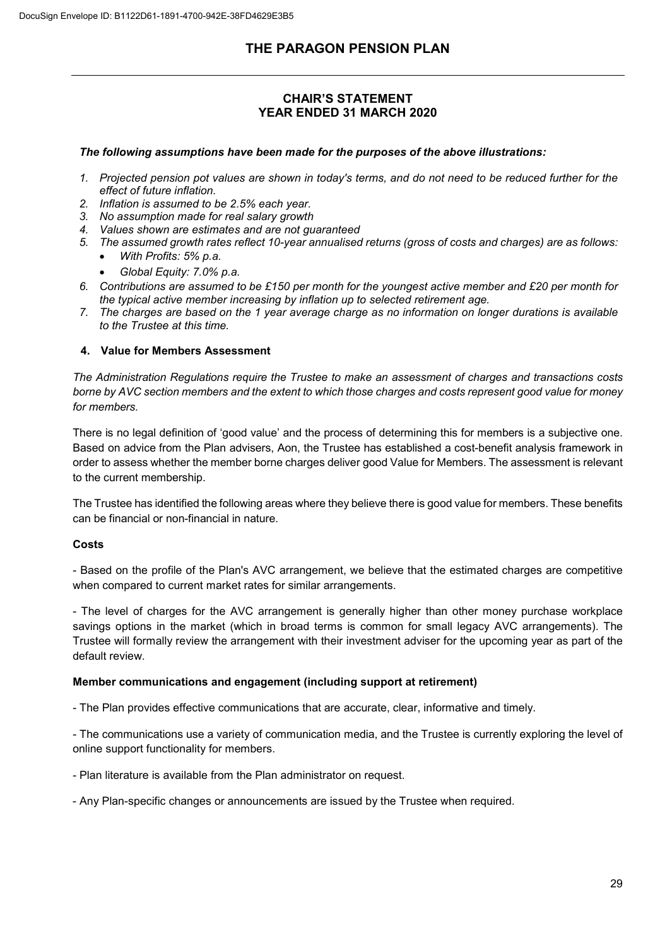# **CHAIR'S STATEMENT YEAR ENDED 31 MARCH 2020**

## *The following assumptions have been made for the purposes of the above illustrations:*

- *1. Projected pension pot values are shown in today's terms, and do not need to be reduced further for the effect of future inflation.*
- *2. Inflation is assumed to be 2.5% each year.*
- *3. No assumption made for real salary growth*
- *4. Values shown are estimates and are not guaranteed*
- *5. The assumed growth rates reflect 10-year annualised returns (gross of costs and charges) are as follows:* • *With Profits: 5% p.a.*
	- *Global Equity: 7.0% p.a.*
- *6. Contributions are assumed to be £150 per month for the youngest active member and £20 per month for the typical active member increasing by inflation up to selected retirement age.*
- *7. The charges are based on the 1 year average charge as no information on longer durations is available to the Trustee at this time.*

## **4. Value for Members Assessment**

*The Administration Regulations require the Trustee to make an assessment of charges and transactions costs borne by AVC section members and the extent to which those charges and costs represent good value for money for members.*

There is no legal definition of 'good value' and the process of determining this for members is a subjective one. Based on advice from the Plan advisers, Aon, the Trustee has established a cost-benefit analysis framework in order to assess whether the member borne charges deliver good Value for Members. The assessment is relevant to the current membership.

The Trustee has identified the following areas where they believe there is good value for members. These benefits can be financial or non-financial in nature.

## **Costs**

- Based on the profile of the Plan's AVC arrangement, we believe that the estimated charges are competitive when compared to current market rates for similar arrangements.

- The level of charges for the AVC arrangement is generally higher than other money purchase workplace savings options in the market (which in broad terms is common for small legacy AVC arrangements). The Trustee will formally review the arrangement with their investment adviser for the upcoming year as part of the default review.

### **Member communications and engagement (including support at retirement)**

- The Plan provides effective communications that are accurate, clear, informative and timely.

- The communications use a variety of communication media, and the Trustee is currently exploring the level of online support functionality for members.

- Plan literature is available from the Plan administrator on request.
- Any Plan-specific changes or announcements are issued by the Trustee when required.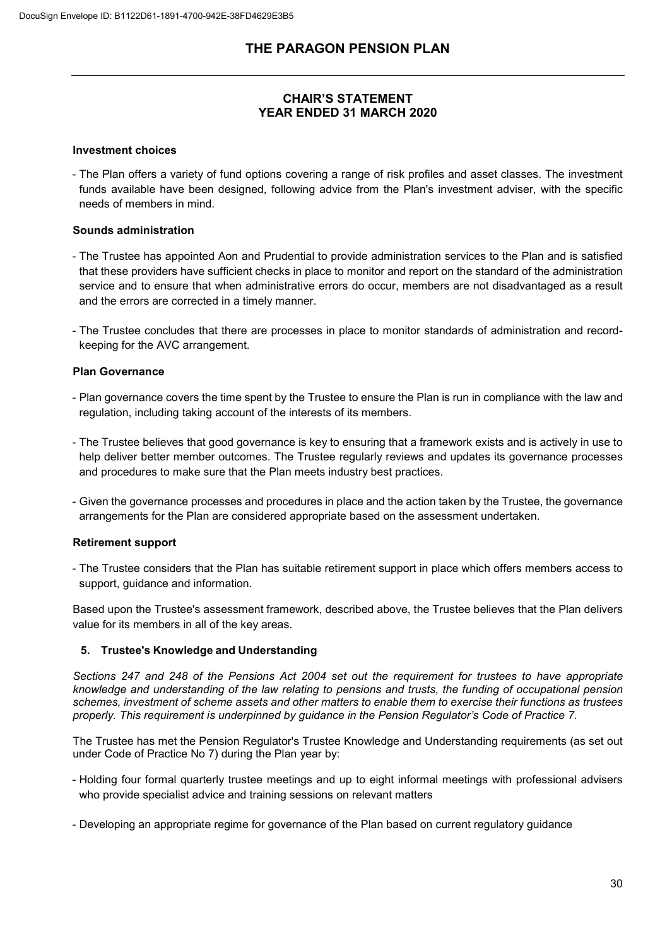# **CHAIR'S STATEMENT YEAR ENDED 31 MARCH 2020**

### **Investment choices**

- The Plan offers a variety of fund options covering a range of risk profiles and asset classes. The investment funds available have been designed, following advice from the Plan's investment adviser, with the specific needs of members in mind.

### **Sounds administration**

- The Trustee has appointed Aon and Prudential to provide administration services to the Plan and is satisfied that these providers have sufficient checks in place to monitor and report on the standard of the administration service and to ensure that when administrative errors do occur, members are not disadvantaged as a result and the errors are corrected in a timely manner.
- The Trustee concludes that there are processes in place to monitor standards of administration and recordkeeping for the AVC arrangement.

#### **Plan Governance**

- Plan governance covers the time spent by the Trustee to ensure the Plan is run in compliance with the law and regulation, including taking account of the interests of its members.
- The Trustee believes that good governance is key to ensuring that a framework exists and is actively in use to help deliver better member outcomes. The Trustee regularly reviews and updates its governance processes and procedures to make sure that the Plan meets industry best practices.
- Given the governance processes and procedures in place and the action taken by the Trustee, the governance arrangements for the Plan are considered appropriate based on the assessment undertaken.

### **Retirement support**

- The Trustee considers that the Plan has suitable retirement support in place which offers members access to support, guidance and information.

Based upon the Trustee's assessment framework, described above, the Trustee believes that the Plan delivers value for its members in all of the key areas.

### **5. Trustee's Knowledge and Understanding**

*Sections 247 and 248 of the Pensions Act 2004 set out the requirement for trustees to have appropriate knowledge and understanding of the law relating to pensions and trusts, the funding of occupational pension schemes, investment of scheme assets and other matters to enable them to exercise their functions as trustees properly. This requirement is underpinned by guidance in the Pension Regulator's Code of Practice 7.*

The Trustee has met the Pension Regulator's Trustee Knowledge and Understanding requirements (as set out under Code of Practice No 7) during the Plan year by:

- Holding four formal quarterly trustee meetings and up to eight informal meetings with professional advisers who provide specialist advice and training sessions on relevant matters
- Developing an appropriate regime for governance of the Plan based on current regulatory guidance